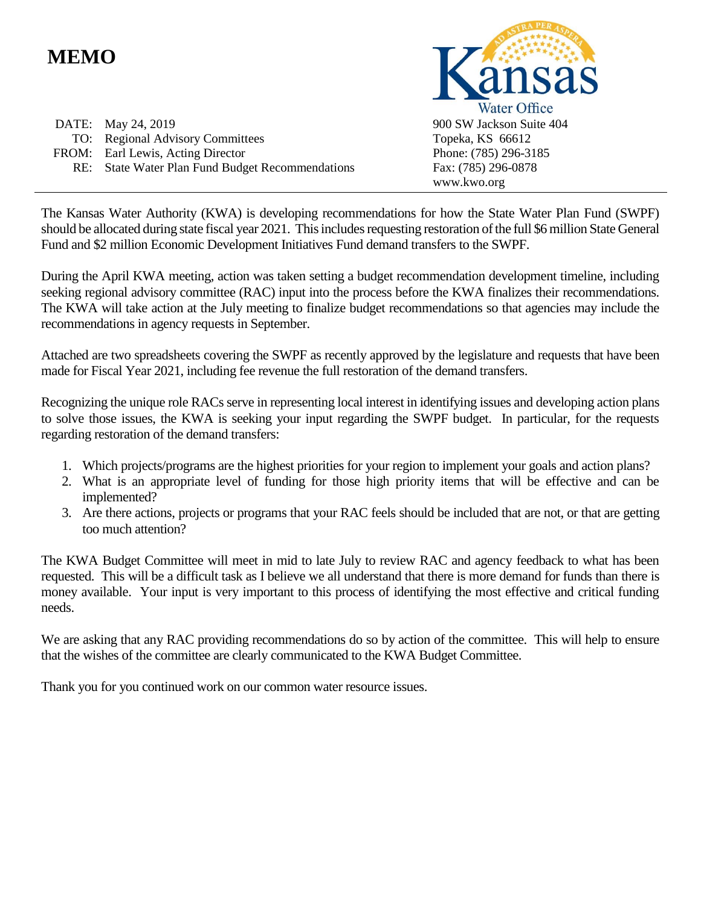# **MEMO**

DATE: May 24, 2019 TO: Regional Advisory Committees FROM: Earl Lewis, Acting Director RE: State Water Plan Fund Budget Recommendations



The Kansas Water Authority (KWA) is developing recommendations for how the State Water Plan Fund (SWPF) should be allocated during state fiscal year 2021. This includes requesting restoration of the full \$6 million State General Fund and \$2 million Economic Development Initiatives Fund demand transfers to the SWPF.

During the April KWA meeting, action was taken setting a budget recommendation development timeline, including seeking regional advisory committee (RAC) input into the process before the KWA finalizes their recommendations. The KWA will take action at the July meeting to finalize budget recommendations so that agencies may include the recommendations in agency requests in September.

Attached are two spreadsheets covering the SWPF as recently approved by the legislature and requests that have been made for Fiscal Year 2021, including fee revenue the full restoration of the demand transfers.

Recognizing the unique role RACs serve in representing local interest in identifying issues and developing action plans to solve those issues, the KWA is seeking your input regarding the SWPF budget. In particular, for the requests regarding restoration of the demand transfers:

- 1. Which projects/programs are the highest priorities for your region to implement your goals and action plans?
- 2. What is an appropriate level of funding for those high priority items that will be effective and can be implemented?
- 3. Are there actions, projects or programs that your RAC feels should be included that are not, or that are getting too much attention?

The KWA Budget Committee will meet in mid to late July to review RAC and agency feedback to what has been requested. This will be a difficult task as I believe we all understand that there is more demand for funds than there is money available. Your input is very important to this process of identifying the most effective and critical funding needs.

We are asking that any RAC providing recommendations do so by action of the committee. This will help to ensure that the wishes of the committee are clearly communicated to the KWA Budget Committee.

Thank you for you continued work on our common water resource issues.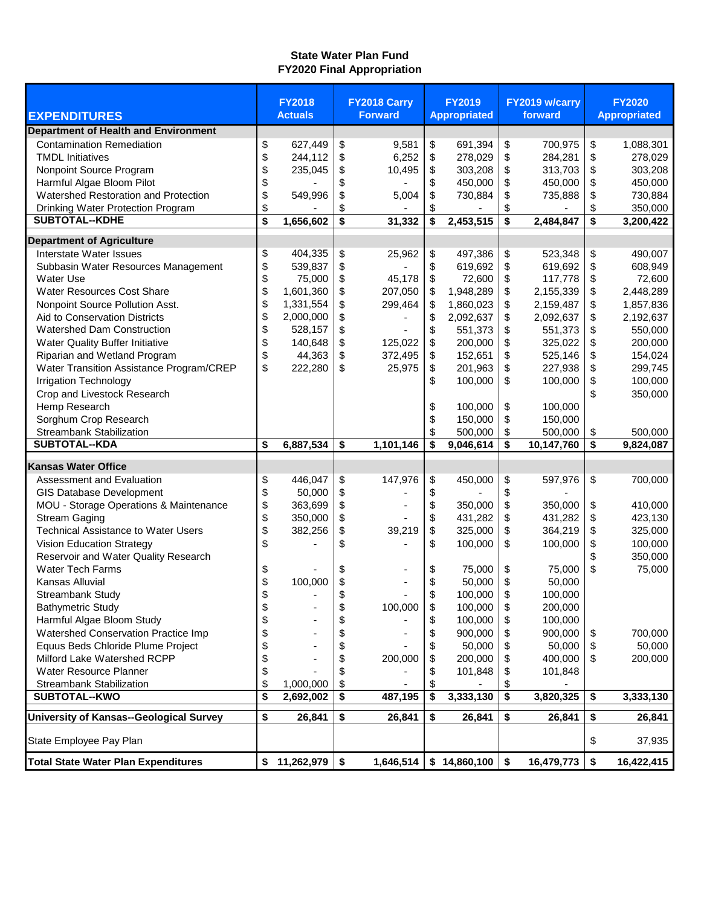## **State Water Plan Fund FY2020 Final Appropriation**

| <b>EXPENDITURES</b>                            | <b>FY2018</b><br><b>Actuals</b> |              |    | FY2018 Carry<br><b>Forward</b> | <b>FY2019</b><br><b>Appropriated</b> | FY2019 w/carry<br>forward | <b>FY2020</b><br><b>Appropriated</b> |  |
|------------------------------------------------|---------------------------------|--------------|----|--------------------------------|--------------------------------------|---------------------------|--------------------------------------|--|
| <b>Department of Health and Environment</b>    |                                 |              |    |                                |                                      |                           |                                      |  |
|                                                |                                 |              |    |                                |                                      |                           |                                      |  |
| <b>Contamination Remediation</b>               | \$                              | 627,449      | \$ | 9,581                          | \$<br>691,394                        | \$<br>700,975             | \$<br>1,088,301                      |  |
| <b>TMDL Initiatives</b>                        | \$                              | 244,112      | \$ | 6,252                          | \$<br>278,029                        | \$<br>284,281             | \$<br>278,029                        |  |
| Nonpoint Source Program                        | \$                              | 235,045      | \$ | 10,495                         | \$<br>303,208                        | \$<br>313,703             | \$<br>303,208                        |  |
| Harmful Algae Bloom Pilot                      | \$                              |              | \$ |                                | \$<br>450,000                        | \$<br>450,000             | \$<br>450,000                        |  |
| Watershed Restoration and Protection           | \$                              | 549,996      | \$ | 5,004                          | \$<br>730,884                        | \$<br>735,888             | \$<br>730,884                        |  |
| Drinking Water Protection Program              | \$                              |              | \$ |                                | \$                                   | \$                        | \$<br>350,000                        |  |
| <b>SUBTOTAL--KDHE</b>                          | \$                              | 1,656,602    | \$ | 31,332                         | \$<br>2,453,515                      | \$<br>2,484,847           | \$<br>3,200,422                      |  |
| <b>Department of Agriculture</b>               |                                 |              |    |                                |                                      |                           |                                      |  |
| Interstate Water Issues                        | \$                              | 404,335      | \$ | 25,962                         | \$<br>497,386                        | \$<br>523,348             | \$<br>490,007                        |  |
| Subbasin Water Resources Management            | \$                              | 539,837      | \$ |                                | \$<br>619,692                        | \$<br>619,692             | \$<br>608,949                        |  |
| <b>Water Use</b>                               | \$                              | 75,000       | \$ | 45,178                         | \$<br>72,600                         | \$<br>117,778             | \$<br>72,600                         |  |
| <b>Water Resources Cost Share</b>              | \$                              | 1,601,360    | \$ | 207,050                        | \$<br>1,948,289                      | \$<br>2,155,339           | \$<br>2,448,289                      |  |
| Nonpoint Source Pollution Asst.                | \$                              | 1,331,554    | \$ | 299,464                        | \$<br>1,860,023                      | \$<br>2,159,487           | \$<br>1,857,836                      |  |
| Aid to Conservation Districts                  | \$                              | 2,000,000    | \$ |                                | \$<br>2,092,637                      | \$<br>2,092,637           | \$<br>2,192,637                      |  |
| <b>Watershed Dam Construction</b>              | \$                              | 528,157      | \$ |                                | \$<br>551,373                        | \$<br>551,373             | \$<br>550,000                        |  |
| Water Quality Buffer Initiative                | \$                              | 140,648      | \$ | 125,022                        | \$<br>200,000                        | \$<br>325,022             | \$<br>200,000                        |  |
| Riparian and Wetland Program                   | \$                              | 44,363       | \$ | 372,495                        | \$<br>152,651                        | \$<br>525,146             | \$<br>154,024                        |  |
| Water Transition Assistance Program/CREP       | \$                              | 222,280      | \$ | 25,975                         | \$<br>201,963                        | \$<br>227,938             | \$<br>299,745                        |  |
| <b>Irrigation Technology</b>                   |                                 |              |    |                                | \$<br>100,000                        | \$<br>100,000             | \$<br>100,000                        |  |
| Crop and Livestock Research                    |                                 |              |    |                                |                                      |                           | \$<br>350,000                        |  |
| Hemp Research                                  |                                 |              |    |                                | \$<br>100,000                        | \$<br>100,000             |                                      |  |
| Sorghum Crop Research                          |                                 |              |    |                                | \$<br>150,000                        | \$<br>150,000             |                                      |  |
| <b>Streambank Stabilization</b>                |                                 |              |    |                                | \$<br>500,000                        | \$<br>500,000             | \$<br>500,000                        |  |
| <b>SUBTOTAL--KDA</b>                           | \$                              | 6,887,534    | \$ | 1,101,146                      | \$<br>9,046,614                      | \$<br>10,147,760          | \$<br>9,824,087                      |  |
|                                                |                                 |              |    |                                |                                      |                           |                                      |  |
| <b>Kansas Water Office</b>                     |                                 |              |    |                                |                                      |                           |                                      |  |
| Assessment and Evaluation                      | \$                              | 446,047      | \$ | 147,976                        | \$<br>450,000                        | \$<br>597,976             | \$<br>700,000                        |  |
| <b>GIS Database Development</b>                | \$                              | 50,000       | \$ |                                | \$                                   | \$                        |                                      |  |
| MOU - Storage Operations & Maintenance         | \$                              | 363,699      | \$ |                                | \$<br>350,000                        | \$<br>350,000             | \$<br>410,000                        |  |
| <b>Stream Gaging</b>                           | \$                              | 350,000      | \$ |                                | \$<br>431,282                        | \$<br>431,282             | \$<br>423,130                        |  |
| <b>Technical Assistance to Water Users</b>     | \$                              | 382,256      | \$ | 39,219                         | \$<br>325,000                        | \$<br>364,219             | \$<br>325,000                        |  |
| Vision Education Strategy                      | \$                              |              | \$ |                                | \$<br>100,000                        | \$<br>100,000             | \$<br>100,000                        |  |
| Reservoir and Water Quality Research           |                                 |              |    |                                |                                      |                           | \$<br>350,000                        |  |
| <b>Water Tech Farms</b>                        | \$                              |              | \$ |                                | \$<br>75,000                         | \$<br>75,000              | \$<br>75,000                         |  |
| Kansas Alluvial                                | \$                              | 100,000      | \$ |                                | \$<br>50,000                         | \$<br>50,000              |                                      |  |
| <b>Streambank Study</b>                        | \$                              |              | \$ |                                | \$<br>100,000                        | \$<br>100,000             |                                      |  |
| <b>Bathymetric Study</b>                       | \$                              |              | \$ | 100,000                        | \$<br>100,000                        | \$<br>200,000             |                                      |  |
| Harmful Algae Bloom Study                      | \$                              |              | \$ |                                | \$<br>100,000                        | \$<br>100,000             |                                      |  |
| Watershed Conservation Practice Imp            | \$                              |              | \$ |                                | \$<br>900,000                        | \$<br>900,000             | \$<br>700,000                        |  |
| Equus Beds Chloride Plume Project              | \$                              |              | \$ |                                | \$<br>50,000                         | \$<br>50,000              | \$<br>50,000                         |  |
| Milford Lake Watershed RCPP                    | \$                              |              | \$ | 200,000                        | \$<br>200,000                        | \$<br>400,000             | \$<br>200,000                        |  |
| Water Resource Planner                         | \$                              |              | \$ |                                | \$<br>101,848                        | \$<br>101,848             |                                      |  |
| Streambank Stabilization                       | \$                              | 1,000,000    | \$ |                                | \$                                   | \$                        |                                      |  |
| SUBTOTAL--KWO                                  | \$                              | 2,692,002    | \$ | 487,195                        | \$<br>3,333,130                      | \$<br>3,820,325           | \$<br>3,333,130                      |  |
| <b>University of Kansas--Geological Survey</b> | \$                              | 26,841       | \$ | 26,841                         | \$<br>26,841                         | \$<br>26,841              | \$<br>26,841                         |  |
| State Employee Pay Plan                        |                                 |              |    |                                |                                      |                           | \$<br>37,935                         |  |
| <b>Total State Water Plan Expenditures</b>     |                                 | \$11,262,979 | \$ | 1,646,514                      | \$14,860,100                         | \$<br>16,479,773          | \$<br>16,422,415                     |  |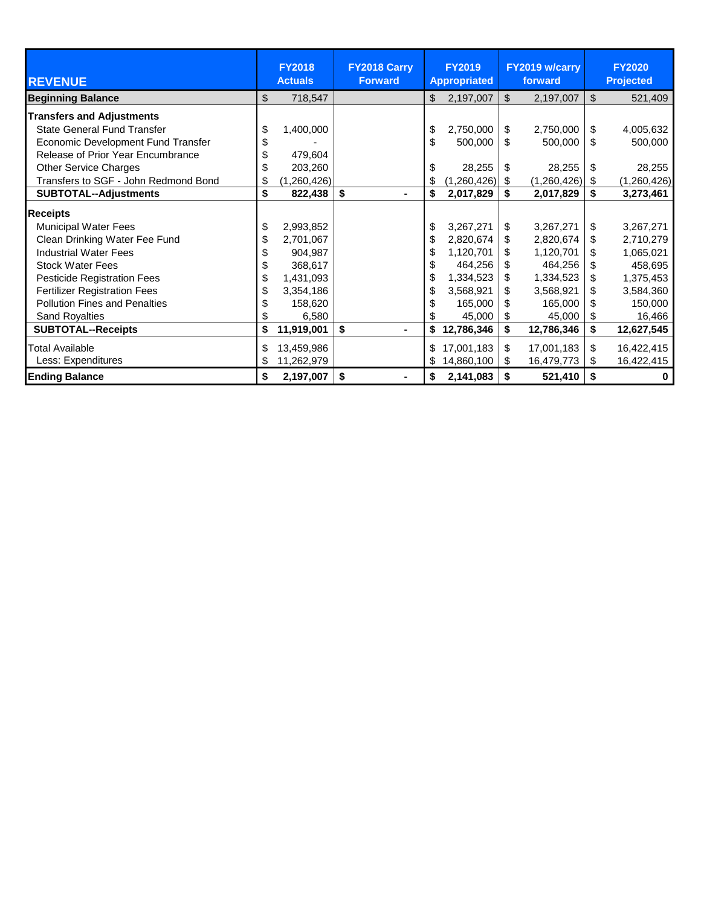|                                      | <b>FY2018</b>     | FY2018 Carry   |                     | <b>FY2019</b> |    | FY2019 w/carry |     | <b>FY2020</b>    |
|--------------------------------------|-------------------|----------------|---------------------|---------------|----|----------------|-----|------------------|
| <b>REVENUE</b>                       | <b>Actuals</b>    | <b>Forward</b> | <b>Appropriated</b> |               |    | forward        |     | <b>Projected</b> |
| <b>Beginning Balance</b>             | \$<br>718,547     |                | \$                  | 2,197,007     | \$ | 2,197,007      | \$  | 521,409          |
| <b>Transfers and Adjustments</b>     |                   |                |                     |               |    |                |     |                  |
| <b>State General Fund Transfer</b>   | \$<br>1,400,000   |                | \$                  | 2,750,000     | \$ | 2,750,000      | \$  | 4,005,632        |
| Economic Development Fund Transfer   |                   |                | \$                  | 500,000       | \$ | 500,000        | \$  | 500,000          |
| Release of Prior Year Encumbrance    | 479.604           |                |                     |               |    |                |     |                  |
| <b>Other Service Charges</b>         | \$<br>203,260     |                | \$                  | 28,255        | \$ | 28,255         | \$  | 28,255           |
| Transfers to SGF - John Redmond Bond | \$<br>(1,260,426) |                | \$                  | (1,260,426)   | \$ | (1,260,426)    | -\$ | (1,260,426)      |
| <b>SUBTOTAL--Adjustments</b>         | \$<br>822,438     | \$<br>۰.       | \$                  | 2,017,829     | \$ | 2,017,829      | \$  | 3,273,461        |
| <b>Receipts</b>                      |                   |                |                     |               |    |                |     |                  |
| <b>Municipal Water Fees</b>          | \$<br>2,993,852   |                | \$                  | 3,267,271     | \$ | 3,267,271      | \$  | 3,267,271        |
| Clean Drinking Water Fee Fund        | \$<br>2,701,067   |                |                     | 2,820,674     | \$ | 2,820,674      | \$  | 2,710,279        |
| <b>Industrial Water Fees</b>         | \$<br>904,987     |                |                     | 1,120,701     | \$ | 1,120,701      | \$. | 1,065,021        |
| <b>Stock Water Fees</b>              | \$<br>368,617     |                | \$                  | 464,256       | \$ | 464,256        | \$  | 458,695          |
| <b>Pesticide Registration Fees</b>   | \$<br>1,431,093   |                | \$                  | 1,334,523     | \$ | 1,334,523      | \$  | 1,375,453        |
| <b>Fertilizer Registration Fees</b>  | \$<br>3,354,186   |                |                     | 3,568,921     | \$ | 3,568,921      | \$  | 3,584,360        |
| <b>Pollution Fines and Penalties</b> | 158,620           |                |                     | 165,000       | \$ | 165,000        | \$  | 150,000          |
| <b>Sand Royalties</b>                | 6,580             |                |                     | 45,000        | \$ | 45,000         | \$  | 16,466           |
| <b>SUBTOTAL--Receipts</b>            | \$<br>11,919,001  | \$             |                     | 12,786,346    | \$ | 12,786,346     | \$  | 12,627,545       |
| <b>Total Available</b>               | \$<br>13,459,986  |                | \$                  | 17,001,183    | \$ | 17,001,183     | \$  | 16,422,415       |
| Less: Expenditures                   | \$<br>11,262,979  |                | \$                  | 14,860,100    | \$ | 16,479,773     | \$  | 16,422,415       |
| <b>Ending Balance</b>                | \$<br>2,197,007   | \$             | \$                  | 2,141,083     | \$ | 521,410        | \$  | 0                |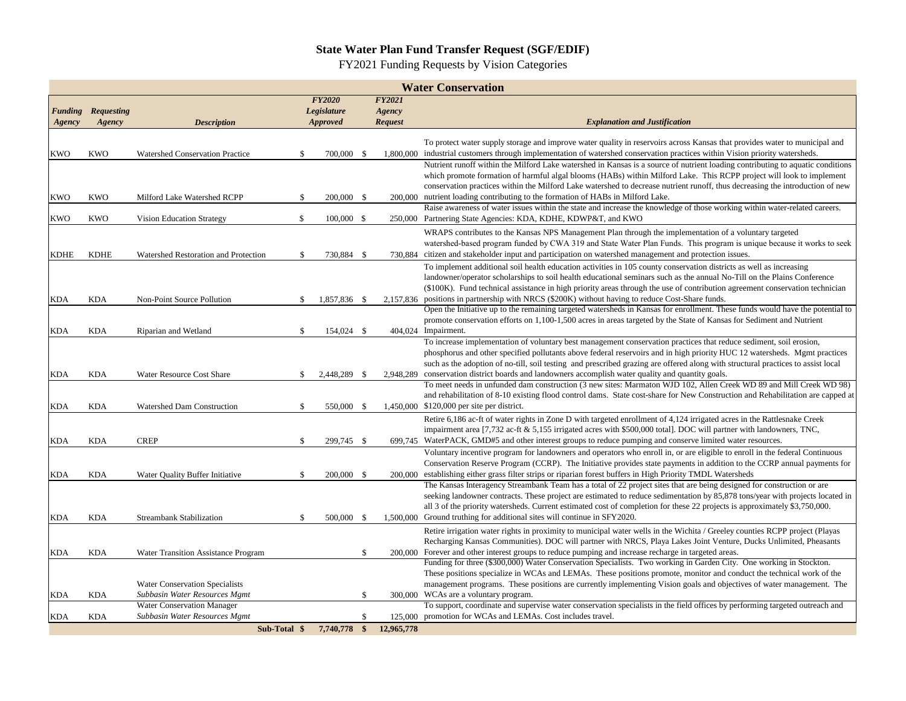#### **State Water Plan Fund Transfer Request (SGF/EDIF)**

FY2021 Funding Requests by Vision Categories

|             | <b>Water Conservation</b> |                                       |               |                    |               |                |                                                                                                                                                                                                                |  |  |  |
|-------------|---------------------------|---------------------------------------|---------------|--------------------|---------------|----------------|----------------------------------------------------------------------------------------------------------------------------------------------------------------------------------------------------------------|--|--|--|
|             |                           |                                       |               | <b>FY2020</b>      |               | <b>FY2021</b>  |                                                                                                                                                                                                                |  |  |  |
|             | <b>Funding Requesting</b> |                                       |               | <b>Legislature</b> |               | Agency         |                                                                                                                                                                                                                |  |  |  |
| Agency      | Agency                    | <b>Description</b>                    |               | <b>Approved</b>    |               | <b>Request</b> | <b>Explanation and Justification</b>                                                                                                                                                                           |  |  |  |
|             |                           |                                       |               |                    |               |                | To protect water supply storage and improve water quality in reservoirs across Kansas that provides water to municipal and                                                                                     |  |  |  |
| <b>KWO</b>  | <b>KWO</b>                | Watershed Conservation Practice       | S.            | 700,000 \$         |               | 1.800,000      | industrial customers through implementation of watershed conservation practices within Vision priority watersheds.                                                                                             |  |  |  |
|             |                           |                                       |               |                    |               |                | Nutrient runoff within the Milford Lake watershed in Kansas is a source of nutrient loading contributing to aquatic conditions                                                                                 |  |  |  |
|             |                           |                                       |               |                    |               |                | which promote formation of harmful algal blooms (HABs) within Milford Lake. This RCPP project will look to implement                                                                                           |  |  |  |
|             |                           |                                       |               |                    |               |                | conservation practices within the Milford Lake watershed to decrease nutrient runoff, thus decreasing the introduction of new                                                                                  |  |  |  |
| <b>KWO</b>  | <b>KWO</b>                | Milford Lake Watershed RCPP           | £.            | 200,000 \$         |               | 200,000        | nutrient loading contributing to the formation of HABs in Milford Lake.                                                                                                                                        |  |  |  |
|             |                           |                                       |               |                    |               |                | Raise awareness of water issues within the state and increase the knowledge of those working within water-related careers.                                                                                     |  |  |  |
| KWO         | <b>KWO</b>                | Vision Education Strategy             | \$            | $100,000$ \$       |               |                | 250,000 Partnering State Agencies: KDA, KDHE, KDWP&T, and KWO                                                                                                                                                  |  |  |  |
|             |                           |                                       |               |                    |               |                | WRAPS contributes to the Kansas NPS Management Plan through the implementation of a voluntary targeted                                                                                                         |  |  |  |
|             |                           |                                       |               |                    |               |                | watershed-based program funded by CWA 319 and State Water Plan Funds. This program is unique because it works to seek                                                                                          |  |  |  |
| <b>KDHE</b> | <b>KDHE</b>               | Watershed Restoration and Protection  | -S            | 730,884 \$         |               | 730.884        | citizen and stakeholder input and participation on watershed management and protection issues.                                                                                                                 |  |  |  |
|             |                           |                                       |               |                    |               |                | To implement additional soil health education activities in 105 county conservation districts as well as increasing                                                                                            |  |  |  |
|             |                           |                                       |               |                    |               |                | landowner/operator scholarships to soil health educational seminars such as the annual No-Till on the Plains Conference                                                                                        |  |  |  |
|             |                           |                                       |               |                    |               |                | (\$100K). Fund technical assistance in high priority areas through the use of contribution agreement conservation technician                                                                                   |  |  |  |
| KDA         | KDA                       | Non-Point Source Pollution            | <sup>\$</sup> | 1,857,836 \$       |               | 2,157,836      | positions in partnership with NRCS (\$200K) without having to reduce Cost-Share funds.                                                                                                                         |  |  |  |
|             |                           |                                       |               |                    |               |                | Open the Initiative up to the remaining targeted watersheds in Kansas for enrollment. These funds would have the potential to                                                                                  |  |  |  |
|             |                           |                                       |               |                    |               |                | promote conservation efforts on 1,100-1,500 acres in areas targeted by the State of Kansas for Sediment and Nutrient                                                                                           |  |  |  |
| <b>KDA</b>  | <b>KDA</b>                | Riparian and Wetland                  | <sup>\$</sup> | 154,024 \$         |               |                | 404,024 Impairment.                                                                                                                                                                                            |  |  |  |
|             |                           |                                       |               |                    |               |                | To increase implementation of voluntary best management conservation practices that reduce sediment, soil erosion,                                                                                             |  |  |  |
|             |                           |                                       |               |                    |               |                | phosphorus and other specified pollutants above federal reservoirs and in high priority HUC 12 watersheds. Mgmt practices                                                                                      |  |  |  |
|             |                           |                                       |               |                    |               |                | such as the adoption of no-till, soil testing and prescribed grazing are offered along with structural practices to assist local                                                                               |  |  |  |
| <b>KDA</b>  | <b>KDA</b>                | Water Resource Cost Share             | S.            | 2,448,289          | - \$          | 2,948,289      | conservation district boards and landowners accomplish water quality and quantity goals.<br>To meet needs in unfunded dam construction (3 new sites: Marmaton WJD 102, Allen Creek WD 89 and Mill Creek WD 98) |  |  |  |
|             |                           |                                       |               |                    |               |                | and rehabilitation of 8-10 existing flood control dams. State cost-share for New Construction and Rehabilitation are capped at                                                                                 |  |  |  |
| <b>KDA</b>  | <b>KDA</b>                | Watershed Dam Construction            | $\mathbf{\$}$ | 550,000 \$         |               |                | 1,450,000 \$120,000 per site per district.                                                                                                                                                                     |  |  |  |
|             |                           |                                       |               |                    |               |                | Retire 6,186 ac-ft of water rights in Zone D with targeted enrollment of 4,124 irrigated acres in the Rattlesnake Creek                                                                                        |  |  |  |
|             |                           |                                       |               |                    |               |                | impairment area [7,732 ac-ft & 5,155 irrigated acres with \$500,000 total]. DOC will partner with landowners, TNC,                                                                                             |  |  |  |
| KDA         | <b>KDA</b>                | <b>CREP</b>                           | -\$           | 299,745 \$         |               |                | 699,745 WaterPACK, GMD#5 and other interest groups to reduce pumping and conserve limited water resources.                                                                                                     |  |  |  |
|             |                           |                                       |               |                    |               |                | Voluntary incentive program for landowners and operators who enroll in, or are eligible to enroll in the federal Continuous                                                                                    |  |  |  |
|             |                           |                                       |               |                    |               |                | Conservation Reserve Program (CCRP). The Initiative provides state payments in addition to the CCRP annual payments for                                                                                        |  |  |  |
| KDA         | <b>KDA</b>                | Water Quality Buffer Initiative       | \$            | 200,000 \$         |               |                | 200,000 establishing either grass filter strips or riparian forest buffers in High Priority TMDL Watersheds                                                                                                    |  |  |  |
|             |                           |                                       |               |                    |               |                | The Kansas Interagency Streambank Team has a total of 22 project sites that are being designed for construction or are                                                                                         |  |  |  |
|             |                           |                                       |               |                    |               |                | seeking landowner contracts. These project are estimated to reduce sedimentation by 85,878 tons/year with projects located in                                                                                  |  |  |  |
|             |                           |                                       |               |                    |               |                | all 3 of the priority watersheds. Current estimated cost of completion for these 22 projects is approximately \$3,750,000.                                                                                     |  |  |  |
| <b>KDA</b>  | <b>KDA</b>                | Streambank Stabilization              | S.            | 500,000 \$         |               |                | 1,500,000 Ground truthing for additional sites will continue in SFY2020.                                                                                                                                       |  |  |  |
|             |                           |                                       |               |                    |               |                | Retire irrigation water rights in proximity to municipal water wells in the Wichita / Greeley counties RCPP project (Playas                                                                                    |  |  |  |
|             |                           |                                       |               |                    |               |                | Recharging Kansas Communities). DOC will partner with NRCS, Playa Lakes Joint Venture, Ducks Unlimited, Pheasants                                                                                              |  |  |  |
| <b>KDA</b>  | <b>KDA</b>                | Water Transition Assistance Program   |               |                    | $\mathcal{S}$ | 200,000        | Forever and other interest groups to reduce pumping and increase recharge in targeted areas.                                                                                                                   |  |  |  |
|             |                           |                                       |               |                    |               |                | Funding for three (\$300,000) Water Conservation Specialists. Two working in Garden City. One working in Stockton.                                                                                             |  |  |  |
|             |                           |                                       |               |                    |               |                | These positions specialize in WCAs and LEMAs. These positions promote, monitor and conduct the technical work of the                                                                                           |  |  |  |
|             |                           | <b>Water Conservation Specialists</b> |               |                    |               |                | management programs. These positions are currently implementing Vision goals and objectives of water management. The                                                                                           |  |  |  |
| <b>KDA</b>  | <b>KDA</b>                | Subbasin Water Resources Mgmt         |               |                    | \$            |                | 300,000 WCAs are a voluntary program.                                                                                                                                                                          |  |  |  |
|             |                           | <b>Water Conservation Manager</b>     |               |                    |               |                | To support, coordinate and supervise water conservation specialists in the field offices by performing targeted outreach and                                                                                   |  |  |  |
| KDA         | <b>KDA</b>                | Subbasin Water Resources Mgmt         |               |                    | \$.           |                | 125,000 promotion for WCAs and LEMAs. Cost includes travel.                                                                                                                                                    |  |  |  |
|             |                           | Sub-Total \$                          |               | 7.740.778 \$       |               | 12,965,778     |                                                                                                                                                                                                                |  |  |  |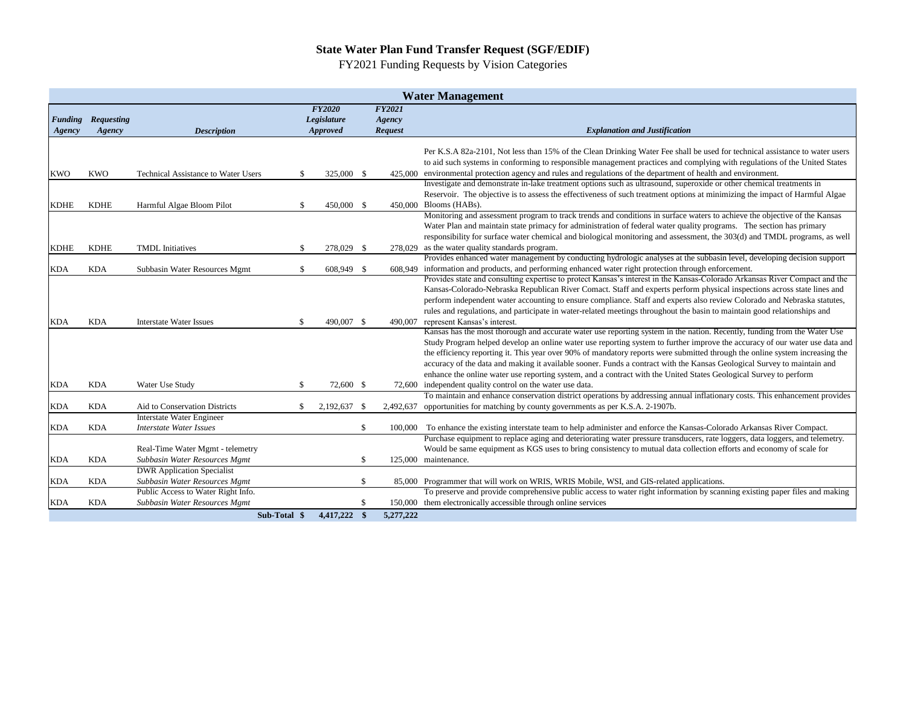#### **State Water Plan Fund Transfer Request (SGF/EDIF)**

FY2021 Funding Requests by Vision Categories

|             |                           |                                     |              |                 |     |                | <b>Water Management</b>                                                                                                      |
|-------------|---------------------------|-------------------------------------|--------------|-----------------|-----|----------------|------------------------------------------------------------------------------------------------------------------------------|
|             |                           |                                     |              | <b>FY2020</b>   |     | <b>FY2021</b>  |                                                                                                                              |
|             | <b>Funding Requesting</b> |                                     |              | Legislature     |     | Agency         |                                                                                                                              |
| Agency      | Agency                    | <b>Description</b>                  |              | <b>Approved</b> |     | <b>Request</b> | <b>Explanation and Justification</b>                                                                                         |
|             |                           |                                     |              |                 |     |                | Per K.S.A 82a-2101, Not less than 15% of the Clean Drinking Water Fee shall be used for technical assistance to water users  |
|             |                           |                                     |              |                 |     |                | to aid such systems in conforming to responsible management practices and complying with regulations of the United States    |
| <b>KWO</b>  | <b>KWO</b>                | Technical Assistance to Water Users | -8           | 325,000 \$      |     |                | 425,000 environmental protection agency and rules and regulations of the department of health and environment.               |
|             |                           |                                     |              |                 |     |                | Investigate and demonstrate in-lake treatment options such as ultrasound, superoxide or other chemical treatments in         |
|             |                           |                                     |              |                 |     |                | Reservoir. The objective is to assess the effectiveness of such treatment options at minimizing the impact of Harmful Algae  |
| <b>KDHE</b> | <b>KDHE</b>               | Harmful Algae Bloom Pilot           | -8           | 450,000 \$      |     |                | 450,000 Blooms (HABs).                                                                                                       |
|             |                           |                                     |              |                 |     |                | Monitoring and assessment program to track trends and conditions in surface waters to achieve the objective of the Kansas    |
|             |                           |                                     |              |                 |     |                | Water Plan and maintain state primacy for administration of federal water quality programs. The section has primary          |
|             |                           |                                     |              |                 |     |                | responsibility for surface water chemical and biological monitoring and assessment, the 303(d) and TMDL programs, as well    |
| <b>KDHE</b> | <b>KDHE</b>               | <b>TMDL</b> Initiatives             | -\$          | 278,029 \$      |     |                | 278,029 as the water quality standards program.                                                                              |
|             |                           |                                     |              |                 |     |                | Provides enhanced water management by conducting hydrologic analyses at the subbasin level, developing decision support      |
| KDA         | <b>KDA</b>                | Subbasin Water Resources Mgmt       | -8           | 608,949 \$      |     |                | 608,949 information and products, and performing enhanced water right protection through enforcement.                        |
|             |                           |                                     |              |                 |     |                | Provides state and consulting expertise to protect Kansas's interest in the Kansas-Colorado Arkansas River Compact and the   |
|             |                           |                                     |              |                 |     |                | Kansas-Colorado-Nebraska Republican River Comact. Staff and experts perform physical inspections across state lines and      |
|             |                           |                                     |              |                 |     |                | perform independent water accounting to ensure compliance. Staff and experts also review Colorado and Nebraska statutes,     |
|             |                           |                                     |              |                 |     |                | rules and regulations, and participate in water-related meetings throughout the basin to maintain good relationships and     |
| <b>KDA</b>  | <b>KDA</b>                | <b>Interstate Water Issues</b>      | -S           | 490,007 \$      |     | 490,007        | represent Kansas's interest.                                                                                                 |
|             |                           |                                     |              |                 |     |                | Kansas has the most thorough and accurate water use reporting system in the nation. Recently, funding from the Water Use     |
|             |                           |                                     |              |                 |     |                | Study Program helped develop an online water use reporting system to further improve the accuracy of our water use data and  |
|             |                           |                                     |              |                 |     |                | the efficiency reporting it. This year over 90% of mandatory reports were submitted through the online system increasing the |
|             |                           |                                     |              |                 |     |                | accuracy of the data and making it available sooner. Funds a contract with the Kansas Geological Survey to maintain and      |
|             |                           |                                     |              |                 |     |                | enhance the online water use reporting system, and a contract with the United States Geological Survey to perform            |
| KDA         | <b>KDA</b>                | Water Use Study                     | -S           | 72,600 \$       |     |                | 72,600 independent quality control on the water use data.                                                                    |
|             |                           |                                     |              |                 |     |                | To maintain and enhance conservation district operations by addressing annual inflationary costs. This enhancement provides  |
| KDA         | <b>KDA</b>                | Aid to Conservation Districts       | -S           | 2,192,637       | -\$ | 2,492,637      | opportunities for matching by county governments as per K.S.A. 2-1907b.                                                      |
|             |                           | <b>Interstate Water Engineer</b>    |              |                 |     |                |                                                                                                                              |
| KDA         | <b>KDA</b>                | <b>Interstate Water Issues</b>      |              |                 | \$  | 100,000        | To enhance the existing interstate team to help administer and enforce the Kansas-Colorado Arkansas River Compact.           |
|             |                           |                                     |              |                 |     |                | Purchase equipment to replace aging and deteriorating water pressure transducers, rate loggers, data loggers, and telemetry. |
|             |                           | Real-Time Water Mgmt - telemetry    |              |                 |     |                | Would be same equipment as KGS uses to bring consistency to mutual data collection efforts and economy of scale for          |
| <b>KDA</b>  | <b>KDA</b>                | Subbasin Water Resources Mgmt       |              |                 | \$  |                | 125,000 maintenance.                                                                                                         |
|             |                           | <b>DWR</b> Application Specialist   |              |                 |     |                |                                                                                                                              |
| <b>KDA</b>  | <b>KDA</b>                | Subbasin Water Resources Mgmt       |              |                 | \$  |                | 85,000 Programmer that will work on WRIS, WRIS Mobile, WSI, and GIS-related applications.                                    |
|             |                           | Public Access to Water Right Info.  |              |                 |     |                | To preserve and provide comprehensive public access to water right information by scanning existing paper files and making   |
| KDA         | <b>KDA</b>                | Subbasin Water Resources Mgmt       |              |                 | \$  |                | 150,000 them electronically accessible through online services                                                               |
|             |                           |                                     | Sub-Total \$ | 4,417,222       | -\$ | 5,277,222      |                                                                                                                              |